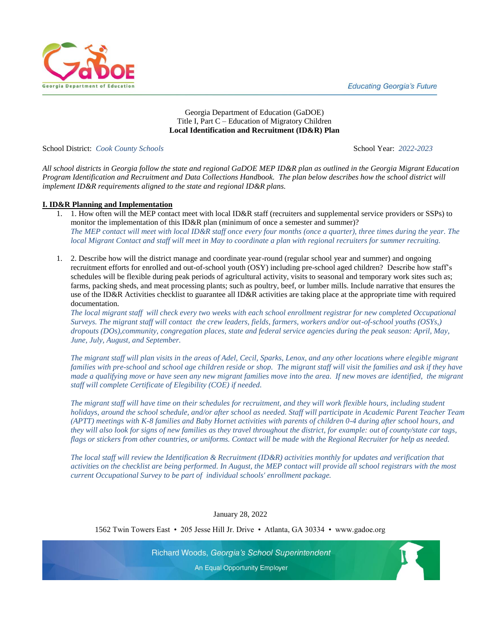**Educating Georgia's Future** 



# Georgia Department of Education (GaDOE) Title I, Part C – Education of Migratory Children **Local Identification and Recruitment (ID&R) Plan**

School District: *Cook County Schools* School Year: *2022-2023* 

*All school districts in Georgia follow the state and regional GaDOE MEP ID&R plan as outlined in the Georgia Migrant Education Program Identification and Recruitment and Data Collections Handbook. The plan below describes how the school district will implement ID&R requirements aligned to the state and regional ID&R plans.* 

### **I. ID&R Planning and Implementation**

- 1. 1. How often will the MEP contact meet with local ID&R staff (recruiters and supplemental service providers or SSPs) to monitor the implementation of this ID&R plan (minimum of once a semester and summer)? *The MEP contact will meet with local ID&R staff once every four months (once a quarter), three times during the year. The local Migrant Contact and staff will meet in May to coordinate a plan with regional recruiters for summer recruiting.*
- 1. 2. Describe how will the district manage and coordinate year-round (regular school year and summer) and ongoing recruitment efforts for enrolled and out-of-school youth (OSY) including pre-school aged children? Describe how staff's schedules will be flexible during peak periods of agricultural activity, visits to seasonal and temporary work sites such as; farms, packing sheds, and meat processing plants; such as poultry, beef, or lumber mills. Include narrative that ensures the use of the ID&R Activities checklist to guarantee all ID&R activities are taking place at the appropriate time with required documentation.

*The local migrant staff will check every two weeks with each school enrollment registrar for new completed Occupational Surveys. The migrant staff will contact the crew leaders, fields, farmers, workers and/or out-of-school youths (OSYs,) dropouts (DOs),community, congregation places, state and federal service agencies during the peak season: April, May, June, July, August, and September.* 

*The migrant staff will plan visits in the areas of Adel, Cecil, Sparks, Lenox, and any other locations where elegible migrant families with pre-school and school age children reside or shop. The migrant staff will visit the families and ask if they have made a qualifying move or have seen any new migrant families move into the area. If new moves are identified, the migrant staff will complete Certificate of Elegibility (COE) if needed.* 

*The migrant staff will have time on their schedules for recruitment, and they will work flexible hours, including student holidays, around the school schedule, and/or after school as needed. Staff will participate in Academic Parent Teacher Team (APTT) meetings with K-8 families and Baby Hornet activities with parents of children 0-4 during after school hours, and they will also look for signs of new families as they travel throughout the district, for example: out of county/state car tags, flags or stickers from other countries, or uniforms. Contact will be made with the Regional Recruiter for help as needed.* 

*The local staff will review the Identification & Recruitment (ID&R) activities monthly for updates and verification that activities on the checklist are being performed. In August, the MEP contact will provide all school registrars with the most current Occupational Survey to be part of individual schools' enrollment package.*

January 28, 2022

1562 Twin Towers East • 205 Jesse Hill Jr. Drive • Atlanta, GA 30334 • www.gadoe.org

Richard Woods, Georgia's School Superintendent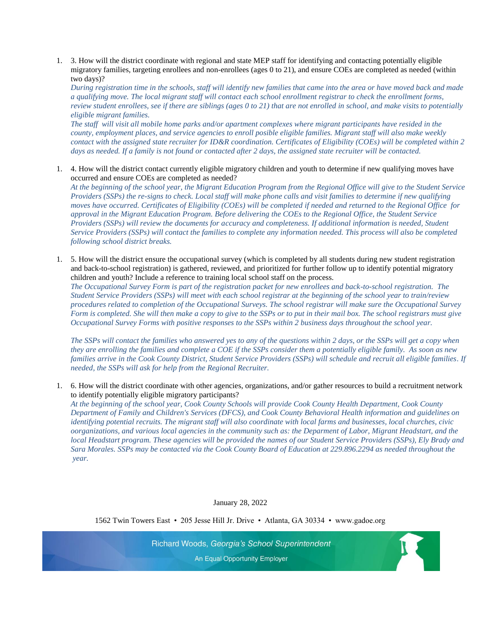1. 3. How will the district coordinate with regional and state MEP staff for identifying and contacting potentially eligible migratory families, targeting enrollees and non-enrollees (ages 0 to 21), and ensure COEs are completed as needed (within two days)?

*During registration time in the schools, staff will identify new families that came into the area or have moved back and made a qualifying move. The local migrant staff will contact each school enrollment registrar to check the enrollment forms, review student enrollees, see if there are siblings (ages 0 to 21) that are not enrolled in school, and make visits to potentially eligible migrant families.* 

*The staff will visit all mobile home parks and/or apartment complexes where migrant participants have resided in the county, employment places, and service agencies to enroll posible eligible families. Migrant staff will also make weekly contact with the assigned state recruiter for ID&R coordination. Certificates of Eligibility (COEs) will be completed within 2 days as needed. If a family is not found or contacted after 2 days, the assigned state recruiter will be contacted.*

1. 4. How will the district contact currently eligible migratory children and youth to determine if new qualifying moves have occurred and ensure COEs are completed as needed?

*At the beginning of the school year, the Migrant Education Program from the Regional Office will give to the Student Service Providers (SSPs) the re-signs to check. Local staff will make phone calls and visit families to determine if new qualifying moves have occurred. Certificates of Eligibility (COEs) will be completed if needed and returned to the Regional Office for approval in the Migrant Education Program. Before delivering the COEs to the Regional Office, the Student Service Providers (SSPs) will review the documents for accuracy and completeness. If additional information is needed, Student Service Providers (SSPs) will contact the families to complete any information needed. This process will also be completed following school district breaks.*

1. 5. How will the district ensure the occupational survey (which is completed by all students during new student registration and back-to-school registration) is gathered, reviewed, and prioritized for further follow up to identify potential migratory children and youth? Include a reference to training local school staff on the process.

*The Occupational Survey Form is part of the registration packet for new enrollees and back-to-school registration. The Student Service Providers (SSPs) will meet with each school registrar at the beginning of the school year to train/review procedures related to completion of the Occupational Surveys. The school registrar will make sure the Occupational Survey Form is completed. She will then make a copy to give to the SSPs or to put in their mail box. The school registrars must give Occupational Survey Forms with positive responses to the SSPs within 2 business days throughout the school year.* 

*The SSPs will contact the families who answered yes to any of the questions within 2 days, or the SSPs will get a copy when they are enrolling the families and complete a COE if the SSPs consider them a potentially eligible family. As soon as new families arrive in the Cook County District, Student Service Providers (SSPs) will schedule and recruit all eligible families. If needed, the SSPs will ask for help from the Regional Recruiter.*

1. 6. How will the district coordinate with other agencies, organizations, and/or gather resources to build a recruitment network to identify potentially eligible migratory participants?

*At the beginning of the school year, Cook County Schools will provide Cook County Health Department, Cook County Department of Family and Children's Services (DFCS), and Cook County Behavioral Health information and guidelines on identifying potential recruits. The migrant staff will also coordinate with local farms and businesses, local churches, civic oorganizations, and various local agencies in the community such as: the Deparment of Labor, Migrant Headstart, and the local Headstart program. These agencies will be provided the names of our Student Service Providers (SSPs), Ely Brady and Sara Morales. SSPs may be contacted via the Cook County Board of Education at 229.896.2294 as needed throughout the year.*

K

January 28, 2022

1562 Twin Towers East • 205 Jesse Hill Jr. Drive • Atlanta, GA 30334 • www.gadoe.org

Richard Woods, Georgia's School Superintendent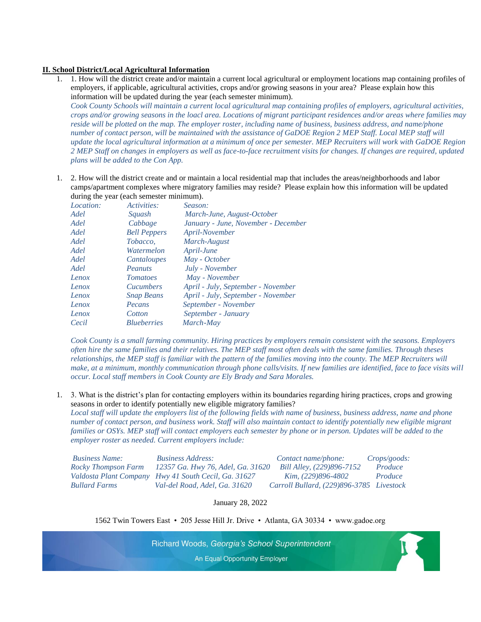### **II. School District/Local Agricultural Information**

- 1. 1. How will the district create and/or maintain a current local agricultural or employment locations map containing profiles of employers, if applicable, agricultural activities, crops and/or growing seasons in your area? Please explain how this information will be updated during the year (each semester minimum). *Cook County Schools will maintain a current local agricultural map containing profiles of employers, agricultural activities, crops and/or growing seasons in the loacl area. Locations of migrant participant residences and/or areas where families may reside will be plotted on the map. The employer roster, including name of business, business address, and name/phone number of contact person, will be maintained with the assistance of GaDOE Region 2 MEP Staff. Local MEP staff will update the local agricultural information at a minimum of once per semester. MEP Recruiters will work with GaDOE Region 2 MEP Staff on changes in employers as well as face-to-face recruitment visits for changes. If changes are required, updated plans will be added to the Con App.*
- 1. 2. How will the district create and or maintain a local residential map that includes the areas/neighborhoods and labor camps/apartment complexes where migratory families may reside? Please explain how this information will be updated during the year (each semester minimum).

| Location: | Activities:         | Season:                             |
|-----------|---------------------|-------------------------------------|
| Adel      | Squash              | March-June, August-October          |
| Adel      | Cabbage             | January - June, November - December |
| Adel      | <b>Bell Peppers</b> | April-November                      |
| Adel      | Tobacco.            | March-August                        |
| Adel      | Watermelon          | April-June                          |
| Adel      | Cantaloupes         | May - October                       |
| Adel      | Peanuts             | July - November                     |
| Lenox     | <b>Tomatoes</b>     | May - November                      |
| Lenox     | <i>Cucumbers</i>    | April - July, September - November  |
| Lenox     | <b>Snap Beans</b>   | April - July, September - November  |
| Lenox     | Pecans              | September - November                |
| Lenox     | Cotton              | September - January                 |
| Cecil     | <b>Blueberries</b>  | March-May                           |

*Cook County is a small farming community. Hiring practices by employers remain consistent with the seasons. Employers often hire the same families and their relatives. The MEP staff most often deals with the same families. Through theses relationships, the MEP staff is familiar with the pattern of the families moving into the county. The MEP Recruiters will make, at a minimum, monthly communication through phone calls/visits. If new families are identified, face to face visits will occur. Local staff members in Cook County are Ely Brady and Sara Morales.*

1. 3. What is the district's plan for contacting employers within its boundaries regarding hiring practices, crops and growing seasons in order to identify potentially new eligible migratory families? *Local staff will update the employers list of the following fields with name of business, business address, name and phone number of contact person, and business work. Staff will also maintain contact to identify potentially new eligible migrant families or OSYs. MEP staff will contact employers each semester by phone or in person. Updates will be added to the employer roster as needed. Current employers include:*

| <b>Business Name:</b> | <b>Business Address:</b>                             | Contact name/phone:                      | <i>Crops/goods:</i> |
|-----------------------|------------------------------------------------------|------------------------------------------|---------------------|
| Rocky Thompson Farm   | 12357 Ga. Hwy 76, Adel, Ga. 31620                    | Bill Alley, (229)896-7152                | Produce             |
|                       | Valdosta Plant Company Hwy 41 South Cecil, Ga. 31627 | <i>Kim, (229)896-4802</i>                | Produce             |
| Bullard Farms         | Val-del Road, Adel, Ga. 31620                        | Carroll Bullard, (229)896-3785 Livestock |                     |

January 28, 2022

1562 Twin Towers East • 205 Jesse Hill Jr. Drive • Atlanta, GA 30334 • www.gadoe.org

Richard Woods, Georgia's School Superintendent

 $\mathbf{R}$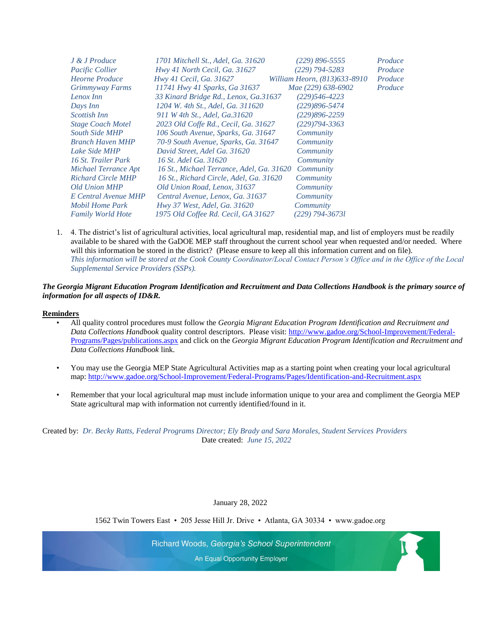| J & J Produce             | 1701 Mitchell St., Adel, Ga. 31620        | (229) 896-5555               | Produce |
|---------------------------|-------------------------------------------|------------------------------|---------|
| <i>Pacific Collier</i>    | Hwy 41 North Cecil, Ga. 31627             | (229) 794-5283               | Produce |
| <b>Heorne Produce</b>     | Hwy 41 Cecil, Ga. 31627                   | William Heorn, (813)633-8910 | Produce |
| Grimmyway Farms           | 11741 Hwy 41 Sparks, Ga 31637             | Mae (229) 638-6902           | Produce |
| Lenox Inn                 | 33 Kinard Bridge Rd., Lenox, Ga.31637     | $(229)546 - 4223$            |         |
| Days Inn                  | 1204 W. 4th St., Adel, Ga. 311620         | $(229)896 - 5474$            |         |
| <i>Scottish Inn</i>       | 911 W 4th St., Adel, Ga.31620             | $(229)896 - 2259$            |         |
| <b>Stage Coach Motel</b>  | 2023 Old Coffe Rd., Cecil, Ga. 31627      | $(229)794 - 3363$            |         |
| <b>South Side MHP</b>     | 106 South Avenue, Sparks, Ga. 31647       | Community                    |         |
| <b>Branch Haven MHP</b>   | 70-9 South Avenue, Sparks, Ga. 31647      | Community                    |         |
| Lake Side MHP             | David Street, Adel Ga. 31620              | Community                    |         |
| 16 St. Trailer Park       | 16 St. Adel Ga. 31620                     | Community                    |         |
| Michael Terrance Apt      | 16 St., Michael Terrance, Adel, Ga. 31620 | Community                    |         |
| <b>Richard Circle MHP</b> | 16 St., Richard Circle, Adel, Ga. 31620   | Community                    |         |
| Old Union MHP             | Old Union Road, Lenox, 31637              | Community                    |         |
| E Central Avenue MHP      | Central Avenue, Lenox, Ga. 31637          | Community                    |         |
| Mobil Home Park           | Hwy 37 West, Adel, Ga. 31620              | Community                    |         |
| <b>Family World Hote</b>  | 1975 Old Coffee Rd. Cecil, GA 31627       | (229) 794-36731              |         |

1. 4. The district's list of agricultural activities, local agricultural map, residential map, and list of employers must be readily available to be shared with the GaDOE MEP staff throughout the current school year when requested and/or needed. Where will this information be stored in the district? (Please ensure to keep all this information current and on file). *This information will be stored at the Cook County Coordinator/Local Contact Person's Office and in the Office of the Local Supplemental Service Providers (SSPs).*

# *The Georgia Migrant Education Program Identification and Recruitment and Data Collections Handbook is the primary source of information for all aspects of ID&R.*

#### **Reminders**

- All quality control procedures must follow the *Georgia Migrant Education Program Identification and Recruitment and Data Collections Handbook* quality control descriptors. Please visit[: http://www.gadoe.org/School-Improvement/Federal-](http://www.gadoe.org/School-Improvement/Federa)[Programs/Pages/publications.aspx](http://www.gadoe.org/School-Improvement/Federa) and click on the *Georgia Migrant Education Program Identification and Recruitment and Data Collections Handbook* link.
- You may use the Georgia MEP State Agricultural Activities map as a starting point when creating your local agricultural map:<http://www.gadoe.org/School-Improvement/Federal-Programs/Pages/Identification-and-Recruitment.aspx>
- Remember that your local agricultural map must include information unique to your area and compliment the Georgia MEP State agricultural map with information not currently identified/found in it.

Created by: *Dr. Becky Ratts, Federal Programs Director; Ely Brady and Sara Morales, Student Services Providers* Date created: *June 15, 2022*

January 28, 2022

1562 Twin Towers East • 205 Jesse Hill Jr. Drive • Atlanta, GA 30334 • www.gadoe.org

Richard Woods, Georgia's School Superintendent